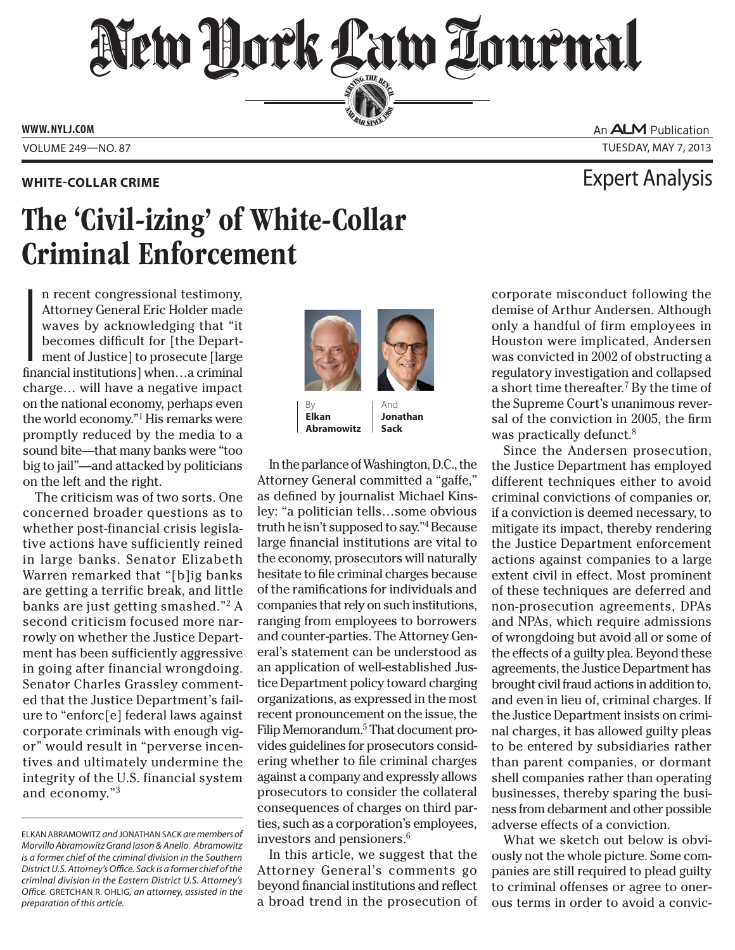# New Hork Law Lournal SERVING THE BEA

**PERSONAL SINCE 1888** 

**WWW. NYLJ.COM**

VOLUME 249—NO. 87 TUESDAY, MAY 7, 2013

## The 'Civil-izing' of White-Collar Criminal Enforcement

 $\begin{bmatrix} 1 \\ 1 \\ 1 \end{bmatrix}$ n recent congressional testimony, Attorney General Eric Holder made waves by acknowledging that "it becomes difficult for [the Department of Justice] to prosecute [large financial institutions] when…a criminal charge… will have a negative impact on the national economy, perhaps even the world economy."1 His remarks were promptly reduced by the media to a sound bite—that many banks were "too big to jail"—and attacked by politicians on the left and the right.

The criticism was of two sorts. One concerned broader questions as to whether post-financial crisis legislative actions have sufficiently reined in large banks. Senator Elizabeth Warren remarked that "[b]ig banks are getting a terrific break, and little banks are just getting smashed."2 A second criticism focused more narrowly on whether the Justice Department has been sufficiently aggressive in going after financial wrongdoing. Senator Charles Grassley commented that the Justice Department's failure to "enforc[e] federal laws against corporate criminals with enough vigor" would result in "perverse incentives and ultimately undermine the integrity of the U.S. financial system and economy."3



**Jonathan Sack**

**Elkan Abramowitz**

In the parlance of Washington, D.C., the Attorney General committed a "gaffe," as defined by journalist Michael Kinsley: "a politician tells…some obvious truth he isn't supposed to say."4 Because large financial institutions are vital to the economy, prosecutors will naturally hesitate to file criminal charges because of the ramifications for individuals and companies that rely on such institutions, ranging from employees to borrowers and counter-parties. The Attorney General's statement can be understood as an application of well-established Justice Department policy toward charging organizations, as expressed in the most recent pronouncement on the issue, the Filip Memorandum.<sup>5</sup> That document provides guidelines for prosecutors considering whether to file criminal charges against a company and expressly allows prosecutors to consider the collateral consequences of charges on third parties, such as a corporation's employees, investors and pensioners.6

In this article, we suggest that the Attorney General's comments go beyond financial institutions and reflect a broad trend in the prosecution of An **ALM** Publication

### **WHITE-COLLAR CRIME** Expert Analysis

corporate misconduct following the demise of Arthur Andersen. Although only a handful of firm employees in Houston were implicated, Andersen was convicted in 2002 of obstructing a regulatory investigation and collapsed a short time thereafter.7 By the time of the Supreme Court's unanimous reversal of the conviction in 2005, the firm was practically defunct.<sup>8</sup>

Since the Andersen prosecution, the Justice Department has employed different techniques either to avoid criminal convictions of companies or, if a conviction is deemed necessary, to mitigate its impact, thereby rendering the Justice Department enforcement actions against companies to a large extent civil in effect. Most prominent of these techniques are deferred and non-prosecution agreements, DPAs and NPAs, which require admissions of wrongdoing but avoid all or some of the effects of a guilty plea. Beyond these agreements, the Justice Department has brought civil fraud actions in addition to, and even in lieu of, criminal charges. If the Justice Department insists on criminal charges, it has allowed guilty pleas to be entered by subsidiaries rather than parent companies, or dormant shell companies rather than operating businesses, thereby sparing the business from debarment and other possible adverse effects of a conviction.

What we sketch out below is obviously not the whole picture. Some companies are still required to plead guilty to criminal offenses or agree to onerous terms in order to avoid a convic-

ELKAN ABRAMOWITZ *and* JONATHAN SACK *are members of Morvillo Abramowitz Grand Iason & Anello*. *Abramowitz is a former chief of the criminal division in the Southern District U.S. Attorney's Office. Sack is a former chief of the criminal division in the Eastern District U.S. Attorney's Office.* GRETCHAN R. OHLIG*, an attorney, assisted in the preparation of this article.*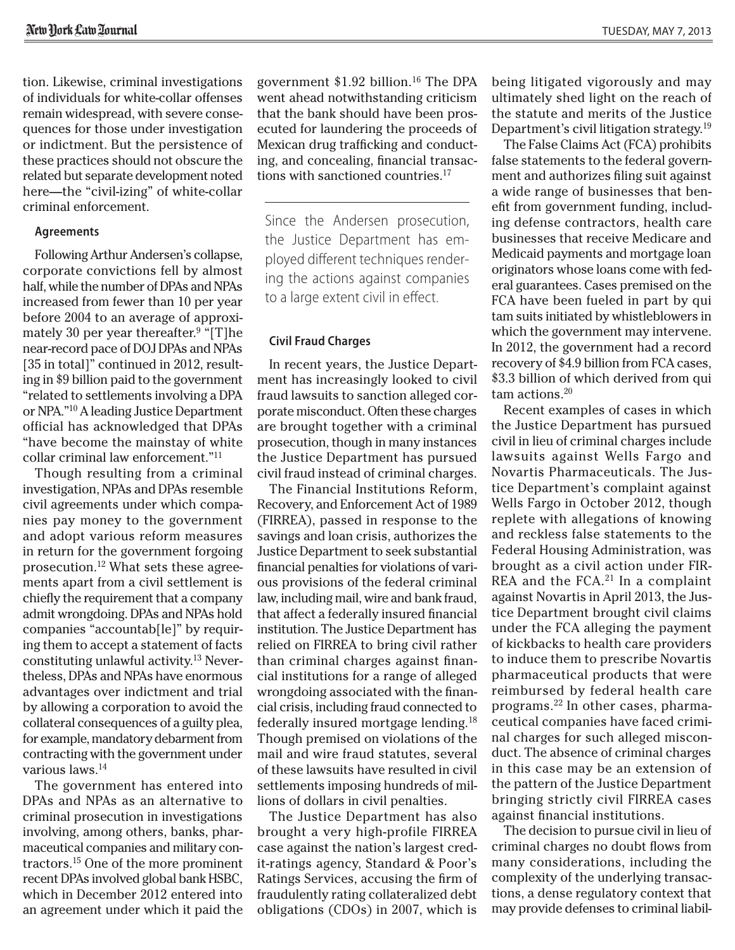tion. Likewise, criminal investigations of individuals for white-collar offenses remain widespread, with severe consequences for those under investigation or indictment. But the persistence of these practices should not obscure the related but separate development noted here—the "civil-izing" of white-collar criminal enforcement.

#### **Agreements**

Following Arthur Andersen's collapse, corporate convictions fell by almost half, while the number of DPAs and NPAs increased from fewer than 10 per year before 2004 to an average of approximately 30 per year thereafter.<sup>9</sup> "[T]he near-record pace of DOJ DPAs and NPAs [35 in total]" continued in 2012, resulting in \$9 billion paid to the government "related to settlements involving a DPA or NPA."10 A leading Justice Department official has acknowledged that DPAs "have become the mainstay of white collar criminal law enforcement."11

Though resulting from a criminal investigation, NPAs and DPAs resemble civil agreements under which companies pay money to the government and adopt various reform measures in return for the government forgoing prosecution.12 What sets these agreements apart from a civil settlement is chiefly the requirement that a company admit wrongdoing. DPAs and NPAs hold companies "accountab[le]" by requiring them to accept a statement of facts constituting unlawful activity.13 Nevertheless, DPAs and NPAs have enormous advantages over indictment and trial by allowing a corporation to avoid the collateral consequences of a guilty plea, for example, mandatory debarment from contracting with the government under various laws.<sup>14</sup>

The government has entered into DPAs and NPAs as an alternative to criminal prosecution in investigations involving, among others, banks, pharmaceutical companies and military contractors.15 One of the more prominent recent DPAs involved global bank HSBC, which in December 2012 entered into an agreement under which it paid the

government  $$1.92$  billion.<sup>16</sup> The DPA went ahead notwithstanding criticism that the bank should have been prosecuted for laundering the proceeds of Mexican drug trafficking and conducting, and concealing, financial transactions with sanctioned countries.17

Since the Andersen prosecution, the Justice Department has employed different techniques rendering the actions against companies to a large extent civil in effect.

### **Civil Fraud Charges**

In recent years, the Justice Department has increasingly looked to civil fraud lawsuits to sanction alleged corporate misconduct. Often these charges are brought together with a criminal prosecution, though in many instances the Justice Department has pursued civil fraud instead of criminal charges.

The Financial Institutions Reform, Recovery, and Enforcement Act of 1989 (FIRREA), passed in response to the savings and loan crisis, authorizes the Justice Department to seek substantial financial penalties for violations of various provisions of the federal criminal law, including mail, wire and bank fraud, that affect a federally insured financial institution. The Justice Department has relied on FIRREA to bring civil rather than criminal charges against financial institutions for a range of alleged wrongdoing associated with the financial crisis, including fraud connected to federally insured mortgage lending.18 Though premised on violations of the mail and wire fraud statutes, several of these lawsuits have resulted in civil settlements imposing hundreds of millions of dollars in civil penalties.

The Justice Department has also brought a very high-profile FIRREA case against the nation's largest credit-ratings agency, Standard & Poor's Ratings Services, accusing the firm of fraudulently rating collateralized debt obligations (CDOs) in 2007, which is being litigated vigorously and may ultimately shed light on the reach of the statute and merits of the Justice Department's civil litigation strategy.<sup>19</sup>

The False Claims Act (FCA) prohibits false statements to the federal government and authorizes filing suit against a wide range of businesses that benefit from government funding, including defense contractors, health care businesses that receive Medicare and Medicaid payments and mortgage loan originators whose loans come with federal guarantees. Cases premised on the FCA have been fueled in part by qui tam suits initiated by whistleblowers in which the government may intervene. In 2012, the government had a record recovery of \$4.9 billion from FCA cases, \$3.3 billion of which derived from qui tam actions.20

Recent examples of cases in which the Justice Department has pursued civil in lieu of criminal charges include lawsuits against Wells Fargo and Novartis Pharmaceuticals. The Justice Department's complaint against Wells Fargo in October 2012, though replete with allegations of knowing and reckless false statements to the Federal Housing Administration, was brought as a civil action under FIR-REA and the FCA.<sup>21</sup> In a complaint against Novartis in April 2013, the Justice Department brought civil claims under the FCA alleging the payment of kickbacks to health care providers to induce them to prescribe Novartis pharmaceutical products that were reimbursed by federal health care programs.22 In other cases, pharmaceutical companies have faced criminal charges for such alleged misconduct. The absence of criminal charges in this case may be an extension of the pattern of the Justice Department bringing strictly civil FIRREA cases against financial institutions.

The decision to pursue civil in lieu of criminal charges no doubt flows from many considerations, including the complexity of the underlying transactions, a dense regulatory context that may provide defenses to criminal liabil